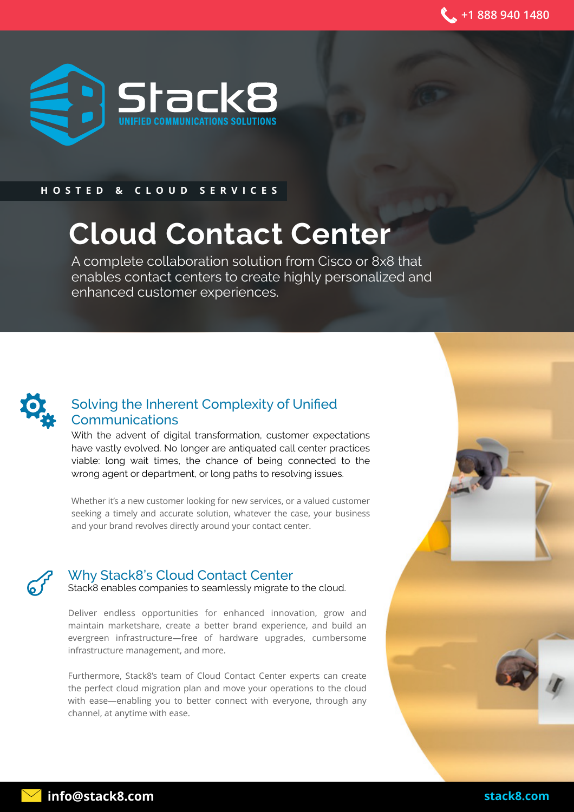

#### **HOSTED & CLOUD SERVICES**

# **Cloud Contact Center**

A complete collaboration solution from Cisco or 8x8 that enables contact centers to create highly personalized and enhanced customer experiences.



## Solving the Inherent Complexity of Unified Communications

With the advent of digital transformation, customer expectations have vastly evolved. No longer are antiquated call center practices viable: long wait times, the chance of being connected to the wrong agent or department, or long paths to resolving issues.

Whether it's a new customer looking for new services, or a valued customer seeking a timely and accurate solution, whatever the case, your business and your brand revolves directly around your contact center.



#### Why Stack8's Cloud Contact Center

Stack8 enables companies to seamlessly migrate to the cloud.

Deliver endless opportunities for enhanced innovation, grow and maintain marketshare, create a better brand experience, and build an evergreen infrastructure—free of hardware upgrades, cumbersome infrastructure management, and more.

Furthermore, Stack8's team of Cloud Contact Center experts can create the perfect cloud migration plan and move your operations to the cloud with ease—enabling you to better connect with everyone, through any channel, at anytime with ease.